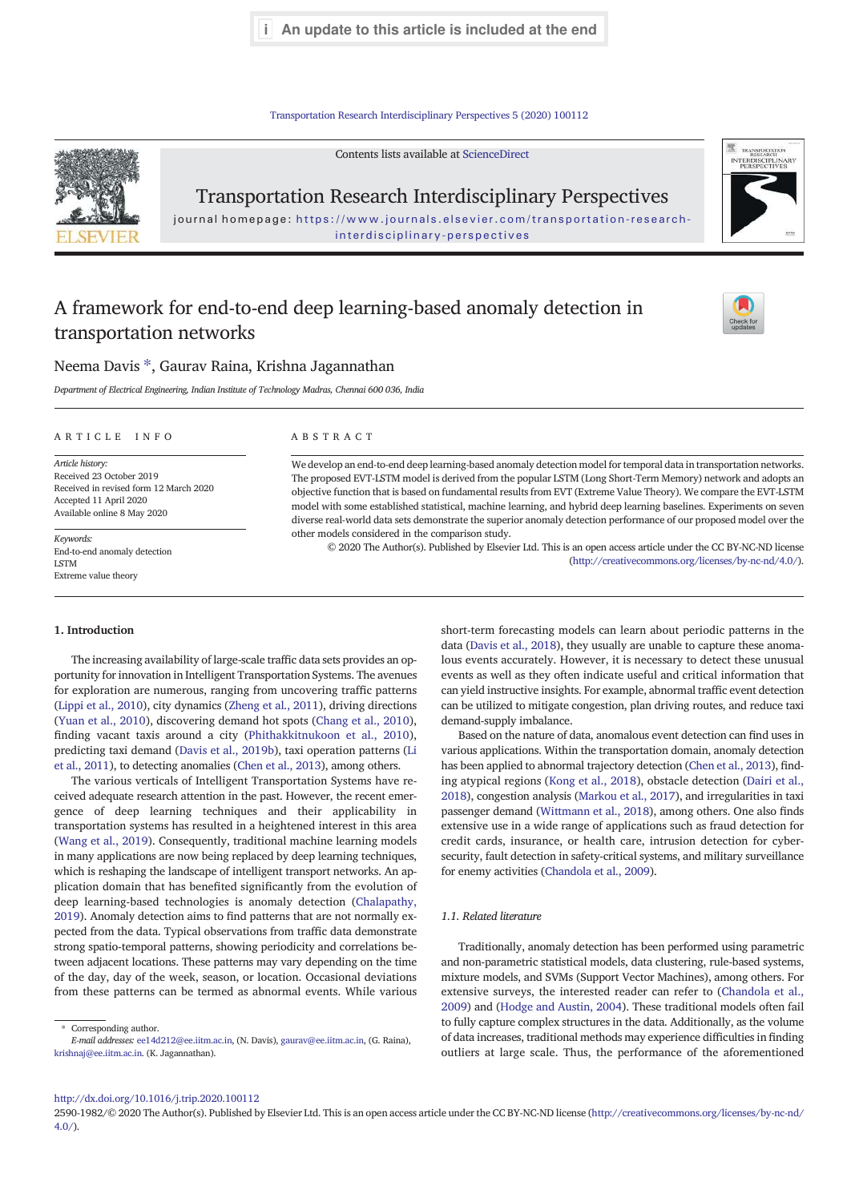**i** An update to this article is included at the end

Transportation Research Interdisciplinary Perspectives 5 (2020) 100112



Contents lists available at ScienceDirect

Transportation Research Interdisciplinary Perspectives

journal homepage: https://www.journals.elsevier.com/transportation-researchinterdisciplinary-perspectives

# A framework for end-to-end deep learning-based anomaly detection in transportation networks



TRANSPORTATION<br>RESEARCH INTERDISCIPLINAR<br>PERSPECTIVES

## Neema Davis  $^\ast$ , Gaurav Raina, Krishna Jagannathan

*Department of Electrical Engineering, Indian Institute of Technology Madras, Chennai 600 036, India*

### ARTICLE INFO ABSTRACT

*Article history:* Received 23 October 2019 Received in revised form 12 March 2020 Accepted 11 April 2020 Available online 8 May 2020

*Keywords:* End-to-end anomaly detection LSTM Extreme value theory

We develop an end-to-end deep learning-based anomaly detection model for temporal data in transportation networks. The proposed EVT-LSTM model is derived from the popular LSTM (Long Short-Term Memory) network and adopts an objective function that is based on fundamental results from EVT (Extreme Value Theory). We compare the EVT-LSTM model with some established statistical, machine learning, and hybrid deep learning baselines. Experiments on seven diverse real-world data sets demonstrate the superior anomaly detection performance of our proposed model over the other models considered in the comparison study.

© 2020 The Author(s). Published by Elsevier Ltd. This is an open access article under the CC BY-NC-ND license (http://creativecommons.org/licenses/by-nc-nd/4.0/).

#### 1. Introduction

The increasing availability of large-scale traffic data sets provides an opportunity for innovation in Intelligent Transportation Systems. The avenues for exploration are numerous, ranging from uncovering traffic patterns (Lippi et al., 2010), city dynamics (Zheng et al., 2011), driving directions (Yuan et al., 2010), discovering demand hot spots (Chang et al., 2010), finding vacant taxis around a city (Phithakkitnukoon et al., 2010), predicting taxi demand (Davis et al., 2019b), taxi operation patterns (Li et al., 2011), to detecting anomalies (Chen et al., 2013), among others.

The various verticals of Intelligent Transportation Systems have received adequate research attention in the past. However, the recent emergence of deep learning techniques and their applicability in transportation systems has resulted in a heightened interest in this area (Wang et al., 2019). Consequently, traditional machine learning models in many applications are now being replaced by deep learning techniques, which is reshaping the landscape of intelligent transport networks. An application domain that has benefited significantly from the evolution of deep learning-based technologies is anomaly detection (Chalapathy, 2019). Anomaly detection aims to find patterns that are not normally expected from the data. Typical observations from traffic data demonstrate strong spatio-temporal patterns, showing periodicity and correlations between adjacent locations. These patterns may vary depending on the time of the day, day of the week, season, or location. Occasional deviations from these patterns can be termed as abnormal events. While various

⁎ Corresponding author. *E-mail addresses:* ee14d212@ee.iitm.ac.in, (N. Davis), gaurav@ee.iitm.ac.in, (G. Raina), krishnaj@ee.iitm.ac.in. (K. Jagannathan).

short-term forecasting models can learn about periodic patterns in the data (Davis et al., 2018), they usually are unable to capture these anomalous events accurately. However, it is necessary to detect these unusual events as well as they often indicate useful and critical information that can yield instructive insights. For example, abnormal traffic event detection can be utilized to mitigate congestion, plan driving routes, and reduce taxi demand-supply imbalance.

Based on the nature of data, anomalous event detection can find uses in various applications. Within the transportation domain, anomaly detection has been applied to abnormal trajectory detection (Chen et al., 2013), finding atypical regions (Kong et al., 2018), obstacle detection (Dairi et al., 2018), congestion analysis (Markou et al., 2017), and irregularities in taxi passenger demand (Wittmann et al., 2018), among others. One also finds extensive use in a wide range of applications such as fraud detection for credit cards, insurance, or health care, intrusion detection for cybersecurity, fault detection in safety-critical systems, and military surveillance for enemy activities (Chandola et al., 2009).

#### *1.1. Related literature*

Traditionally, anomaly detection has been performed using parametric and non-parametric statistical models, data clustering, rule-based systems, mixture models, and SVMs (Support Vector Machines), among others. For extensive surveys, the interested reader can refer to (Chandola et al., 2009) and (Hodge and Austin, 2004). These traditional models often fail to fully capture complex structures in the data. Additionally, as the volume of data increases, traditional methods may experience difficulties in finding outliers at large scale. Thus, the performance of the aforementioned

#### http://dx.doi.org/10.1016/j.trip.2020.100112

2590-1982/© 2020 The Author(s). Published by Elsevier Ltd. This is an open access article under the CC BY-NC-ND license (http://creativecommons.org/licenses/by-nc-nd/  $4.0/$ ).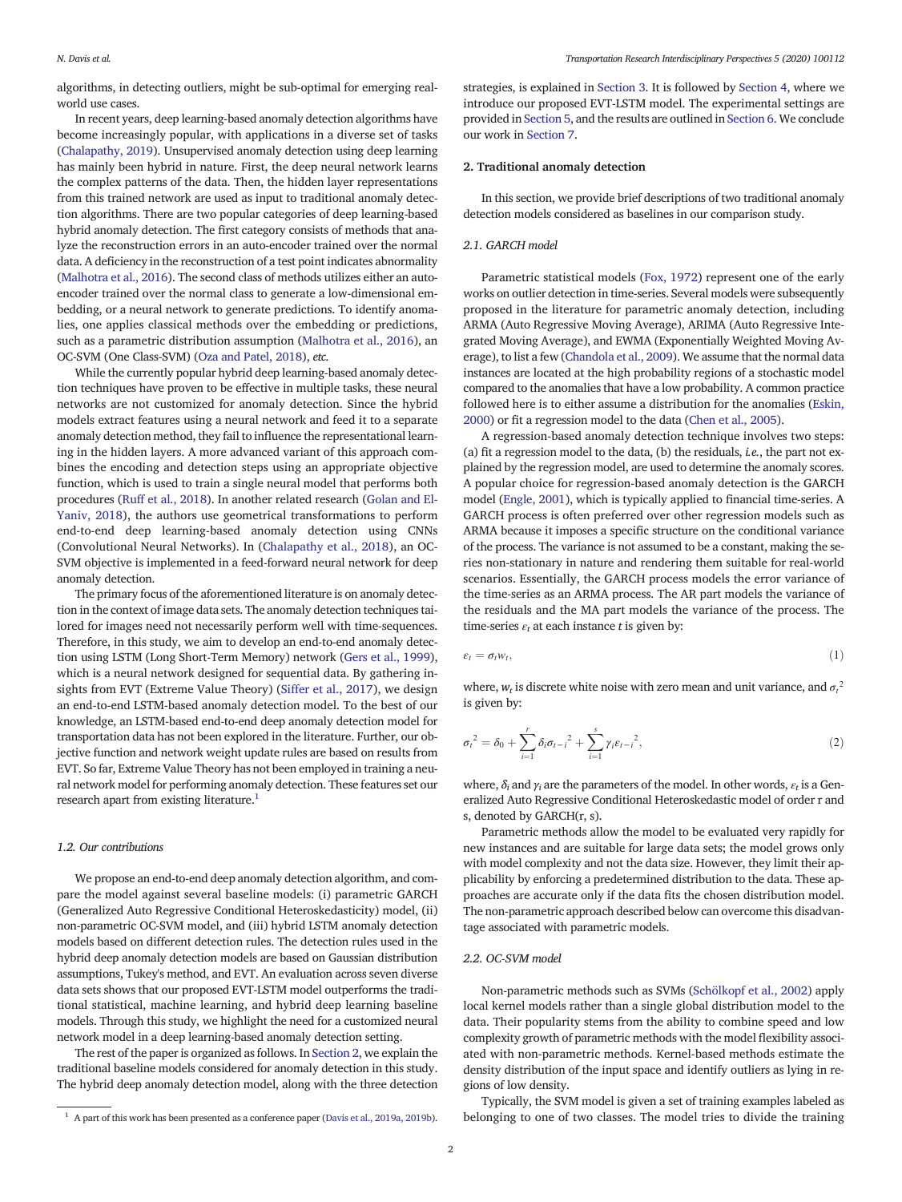algorithms, in detecting outliers, might be sub-optimal for emerging realworld use cases.

In recent years, deep learning-based anomaly detection algorithms have become increasingly popular, with applications in a diverse set of tasks (Chalapathy, 2019). Unsupervised anomaly detection using deep learning has mainly been hybrid in nature. First, the deep neural network learns the complex patterns of the data. Then, the hidden layer representations from this trained network are used as input to traditional anomaly detection algorithms. There are two popular categories of deep learning-based hybrid anomaly detection. The first category consists of methods that analyze the reconstruction errors in an auto-encoder trained over the normal data. A deficiency in the reconstruction of a test point indicates abnormality (Malhotra et al., 2016). The second class of methods utilizes either an autoencoder trained over the normal class to generate a low-dimensional embedding, or a neural network to generate predictions. To identify anomalies, one applies classical methods over the embedding or predictions, such as a parametric distribution assumption (Malhotra et al., 2016), an OC-SVM (One Class-SVM) (Oza and Patel, 2018), *etc.*

While the currently popular hybrid deep learning-based anomaly detection techniques have proven to be effective in multiple tasks, these neural networks are not customized for anomaly detection. Since the hybrid models extract features using a neural network and feed it to a separate anomaly detection method, they fail to influence the representational learning in the hidden layers. A more advanced variant of this approach combines the encoding and detection steps using an appropriate objective function, which is used to train a single neural model that performs both procedures (Ruff et al., 2018). In another related research (Golan and El-Yaniv, 2018), the authors use geometrical transformations to perform end-to-end deep learning-based anomaly detection using CNNs (Convolutional Neural Networks). In (Chalapathy et al., 2018), an OC-SVM objective is implemented in a feed-forward neural network for deep anomaly detection.

The primary focus of the aforementioned literature is on anomaly detection in the context of image data sets. The anomaly detection techniques tailored for images need not necessarily perform well with time-sequences. Therefore, in this study, we aim to develop an end-to-end anomaly detection using LSTM (Long Short-Term Memory) network (Gers et al., 1999), which is a neural network designed for sequential data. By gathering insights from EVT (Extreme Value Theory) (Siffer et al., 2017), we design an end-to-end LSTM-based anomaly detection model. To the best of our knowledge, an LSTM-based end-to-end deep anomaly detection model for transportation data has not been explored in the literature. Further, our objective function and network weight update rules are based on results from EVT. So far, Extreme Value Theory has not been employed in training a neural network model for performing anomaly detection. These features set our research apart from existing literature.<sup>1</sup>

#### *1.2. Our contributions*

We propose an end-to-end deep anomaly detection algorithm, and compare the model against several baseline models: (i) parametric GARCH (Generalized Auto Regressive Conditional Heteroskedasticity) model, (ii) non-parametric OC-SVM model, and (iii) hybrid LSTM anomaly detection models based on different detection rules. The detection rules used in the hybrid deep anomaly detection models are based on Gaussian distribution assumptions, Tukey's method, and EVT. An evaluation across seven diverse data sets shows that our proposed EVT-LSTM model outperforms the traditional statistical, machine learning, and hybrid deep learning baseline models. Through this study, we highlight the need for a customized neural network model in a deep learning-based anomaly detection setting.

The rest of the paper is organized as follows. In Section 2, we explain the traditional baseline models considered for anomaly detection in this study. The hybrid deep anomaly detection model, along with the three detection strategies, is explained in Section 3. It is followed by Section 4, where we introduce our proposed EVT-LSTM model. The experimental settings are provided in Section 5, and the results are outlined in Section 6. We conclude our work in Section 7.

#### 2. Traditional anomaly detection

In this section, we provide brief descriptions of two traditional anomaly detection models considered as baselines in our comparison study.

## *2.1. GARCH model*

Parametric statistical models (Fox, 1972) represent one of the early works on outlier detection in time-series. Several models were subsequently proposed in the literature for parametric anomaly detection, including ARMA (Auto Regressive Moving Average), ARIMA (Auto Regressive Integrated Moving Average), and EWMA (Exponentially Weighted Moving Average), to list a few (Chandola et al., 2009). We assume that the normal data instances are located at the high probability regions of a stochastic model compared to the anomalies that have a low probability. A common practice followed here is to either assume a distribution for the anomalies (Eskin, 2000) or fit a regression model to the data (Chen et al., 2005).

A regression-based anomaly detection technique involves two steps: (a) fit a regression model to the data, (b) the residuals, *i.e.*, the part not explained by the regression model, are used to determine the anomaly scores. A popular choice for regression-based anomaly detection is the GARCH model (Engle, 2001), which is typically applied to financial time-series. A GARCH process is often preferred over other regression models such as ARMA because it imposes a specific structure on the conditional variance of the process. The variance is not assumed to be a constant, making the series non-stationary in nature and rendering them suitable for real-world scenarios. Essentially, the GARCH process models the error variance of the time-series as an ARMA process. The AR part models the variance of the residuals and the MA part models the variance of the process. The time-series  $\varepsilon_t$  at each instance *t* is given by:

$$
\varepsilon_t = \sigma_t w_t,\tag{1}
$$

where,  $w_t$  is discrete white noise with zero mean and unit variance, and  $\sigma_t^2$ is given by:

$$
\sigma_t^2 = \delta_0 + \sum_{i=1}^r \delta_i \sigma_{t-i}^2 + \sum_{i=1}^s \gamma_i \varepsilon_{t-i}^2, \tag{2}
$$

where,  $\delta_i$  and  $\gamma_i$  are the parameters of the model. In other words,  $\varepsilon_t$  is a Generalized Auto Regressive Conditional Heteroskedastic model of order r and s, denoted by GARCH(r, s).

Parametric methods allow the model to be evaluated very rapidly for new instances and are suitable for large data sets; the model grows only with model complexity and not the data size. However, they limit their applicability by enforcing a predetermined distribution to the data. These approaches are accurate only if the data fits the chosen distribution model. The non-parametric approach described below can overcome this disadvantage associated with parametric models.

#### *2.2. OC-SVM model*

Non-parametric methods such as SVMs (Schölkopf et al., 2002) apply local kernel models rather than a single global distribution model to the data. Their popularity stems from the ability to combine speed and low complexity growth of parametric methods with the model flexibility associated with non-parametric methods. Kernel-based methods estimate the density distribution of the input space and identify outliers as lying in regions of low density.

Typically, the SVM model is given a set of training examples labeled as <sup>1</sup> A part of this work has been presented as a conference paper (Davis et al., 2019a, 2019b). belonging to one of two classes. The model tries to divide the training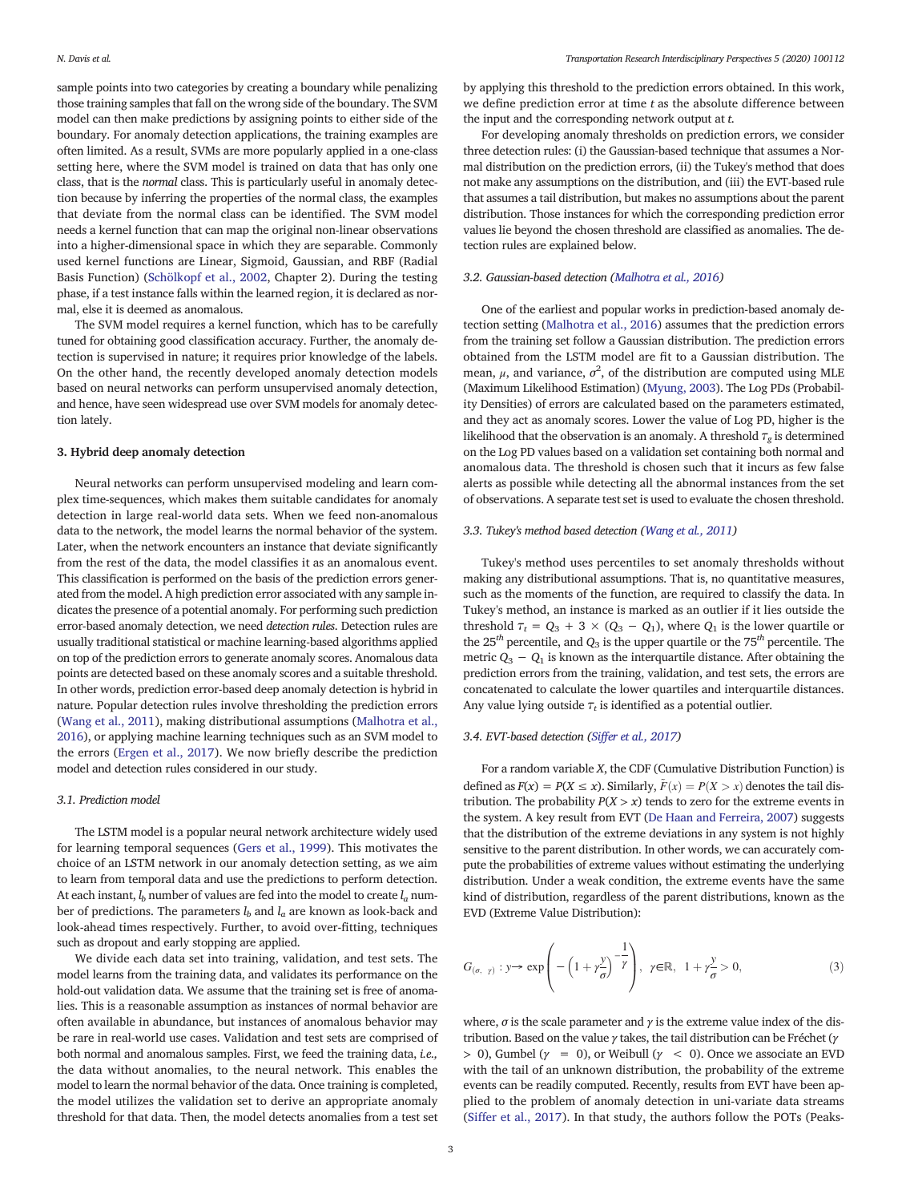sample points into two categories by creating a boundary while penalizing those training samples that fall on the wrong side of the boundary. The SVM model can then make predictions by assigning points to either side of the boundary. For anomaly detection applications, the training examples are often limited. As a result, SVMs are more popularly applied in a one-class setting here, where the SVM model is trained on data that has only one class, that is the *normal* class. This is particularly useful in anomaly detection because by inferring the properties of the normal class, the examples that deviate from the normal class can be identified. The SVM model needs a kernel function that can map the original non-linear observations into a higher-dimensional space in which they are separable. Commonly used kernel functions are Linear, Sigmoid, Gaussian, and RBF (Radial Basis Function) (Schölkopf et al., 2002, Chapter 2). During the testing phase, if a test instance falls within the learned region, it is declared as normal, else it is deemed as anomalous.

The SVM model requires a kernel function, which has to be carefully tuned for obtaining good classification accuracy. Further, the anomaly detection is supervised in nature; it requires prior knowledge of the labels. On the other hand, the recently developed anomaly detection models based on neural networks can perform unsupervised anomaly detection, and hence, have seen widespread use over SVM models for anomaly detection lately.

#### 3. Hybrid deep anomaly detection

Neural networks can perform unsupervised modeling and learn complex time-sequences, which makes them suitable candidates for anomaly detection in large real-world data sets. When we feed non-anomalous data to the network, the model learns the normal behavior of the system. Later, when the network encounters an instance that deviate significantly from the rest of the data, the model classifies it as an anomalous event. This classification is performed on the basis of the prediction errors generated from the model. A high prediction error associated with any sample indicates the presence of a potential anomaly. For performing such prediction error-based anomaly detection, we need *detection rules*. Detection rules are usually traditional statistical or machine learning-based algorithms applied on top of the prediction errors to generate anomaly scores. Anomalous data points are detected based on these anomaly scores and a suitable threshold. In other words, prediction error-based deep anomaly detection is hybrid in nature. Popular detection rules involve thresholding the prediction errors (Wang et al., 2011), making distributional assumptions (Malhotra et al., 2016), or applying machine learning techniques such as an SVM model to the errors (Ergen et al., 2017). We now briefly describe the prediction model and detection rules considered in our study.

#### *3.1. Prediction model*

The LSTM model is a popular neural network architecture widely used for learning temporal sequences (Gers et al., 1999). This motivates the choice of an LSTM network in our anomaly detection setting, as we aim to learn from temporal data and use the predictions to perform detection. At each instant,  $l_b$  number of values are fed into the model to create  $l_a$  number of predictions. The parameters *l<sup>b</sup>* and *l<sup>a</sup>* are known as look-back and look-ahead times respectively. Further, to avoid over-fitting, techniques such as dropout and early stopping are applied.

We divide each data set into training, validation, and test sets. The model learns from the training data, and validates its performance on the hold-out validation data. We assume that the training set is free of anomalies. This is a reasonable assumption as instances of normal behavior are often available in abundance, but instances of anomalous behavior may be rare in real-world use cases. Validation and test sets are comprised of both normal and anomalous samples. First, we feed the training data, *i.e.,* the data without anomalies, to the neural network. This enables the model to learn the normal behavior of the data. Once training is completed, the model utilizes the validation set to derive an appropriate anomaly threshold for that data. Then, the model detects anomalies from a test set

by applying this threshold to the prediction errors obtained. In this work, we define prediction error at time *t* as the absolute difference between the input and the corresponding network output at *t*.

For developing anomaly thresholds on prediction errors, we consider three detection rules: (i) the Gaussian-based technique that assumes a Normal distribution on the prediction errors, (ii) the Tukey's method that does not make any assumptions on the distribution, and (iii) the EVT-based rule that assumes a tail distribution, but makes no assumptions about the parent distribution. Those instances for which the corresponding prediction error values lie beyond the chosen threshold are classified as anomalies. The detection rules are explained below.

#### *3.2. Gaussian-based detection (Malhotra et al., 2016)*

One of the earliest and popular works in prediction-based anomaly detection setting (Malhotra et al., 2016) assumes that the prediction errors from the training set follow a Gaussian distribution. The prediction errors obtained from the LSTM model are fit to a Gaussian distribution. The mean,  $\mu$ , and variance,  $\sigma^2$ , of the distribution are computed using MLE (Maximum Likelihood Estimation) (Myung, 2003). The Log PDs (Probability Densities) of errors are calculated based on the parameters estimated, and they act as anomaly scores. Lower the value of Log PD, higher is the likelihood that the observation is an anomaly. A threshold  $\tau_g$  is determined on the Log PD values based on a validation set containing both normal and anomalous data. The threshold is chosen such that it incurs as few false alerts as possible while detecting all the abnormal instances from the set of observations. A separate test set is used to evaluate the chosen threshold.

#### *3.3. Tukey's method based detection (Wang et al., 2011)*

Tukey's method uses percentiles to set anomaly thresholds without making any distributional assumptions. That is, no quantitative measures, such as the moments of the function, are required to classify the data. In Tukey's method, an instance is marked as an outlier if it lies outside the threshold  $\tau_t = Q_3 + 3 \times (Q_3 - Q_1)$ , where  $Q_1$  is the lower quartile or the  $25<sup>th</sup>$  percentile, and  $Q_3$  is the upper quartile or the 75<sup>th</sup> percentile. The metric  $Q_3 - Q_1$  is known as the interquartile distance. After obtaining the prediction errors from the training, validation, and test sets, the errors are concatenated to calculate the lower quartiles and interquartile distances. Any value lying outside  $\tau_t$  is identified as a potential outlier.

#### *3.4. EVT-based detection (Siffer et al., 2017)*

For a random variable *X*, the CDF (Cumulative Distribution Function) is defined as  $F(x) = P(X \le x)$ . Similarly,  $\tilde{F}(x) = P(X > x)$  denotes the tail distribution. The probability  $P(X > x)$  tends to zero for the extreme events in the system. A key result from EVT (De Haan and Ferreira, 2007) suggests that the distribution of the extreme deviations in any system is not highly sensitive to the parent distribution. In other words, we can accurately compute the probabilities of extreme values without estimating the underlying distribution. Under a weak condition, the extreme events have the same kind of distribution, regardless of the parent distributions, known as the EVD (Extreme Value Distribution):

$$
G_{(\sigma, \gamma)}: y \to \exp\left(-\left(1 + \gamma \frac{y}{\sigma}\right)^{-\frac{1}{\gamma}}\right), \ \gamma \in \mathbb{R}, \ 1 + \gamma \frac{y}{\sigma} > 0,
$$
\n
$$
(3)
$$

where,  $\sigma$  is the scale parameter and  $\gamma$  is the extreme value index of the distribution. Based on the value γ takes, the tail distribution can be Fréchet (γ  $> 0$ ), Gumbel ( $\gamma = 0$ ), or Weibull ( $\gamma < 0$ ). Once we associate an EVD with the tail of an unknown distribution, the probability of the extreme events can be readily computed. Recently, results from EVT have been applied to the problem of anomaly detection in uni-variate data streams (Siffer et al., 2017). In that study, the authors follow the POTs (Peaks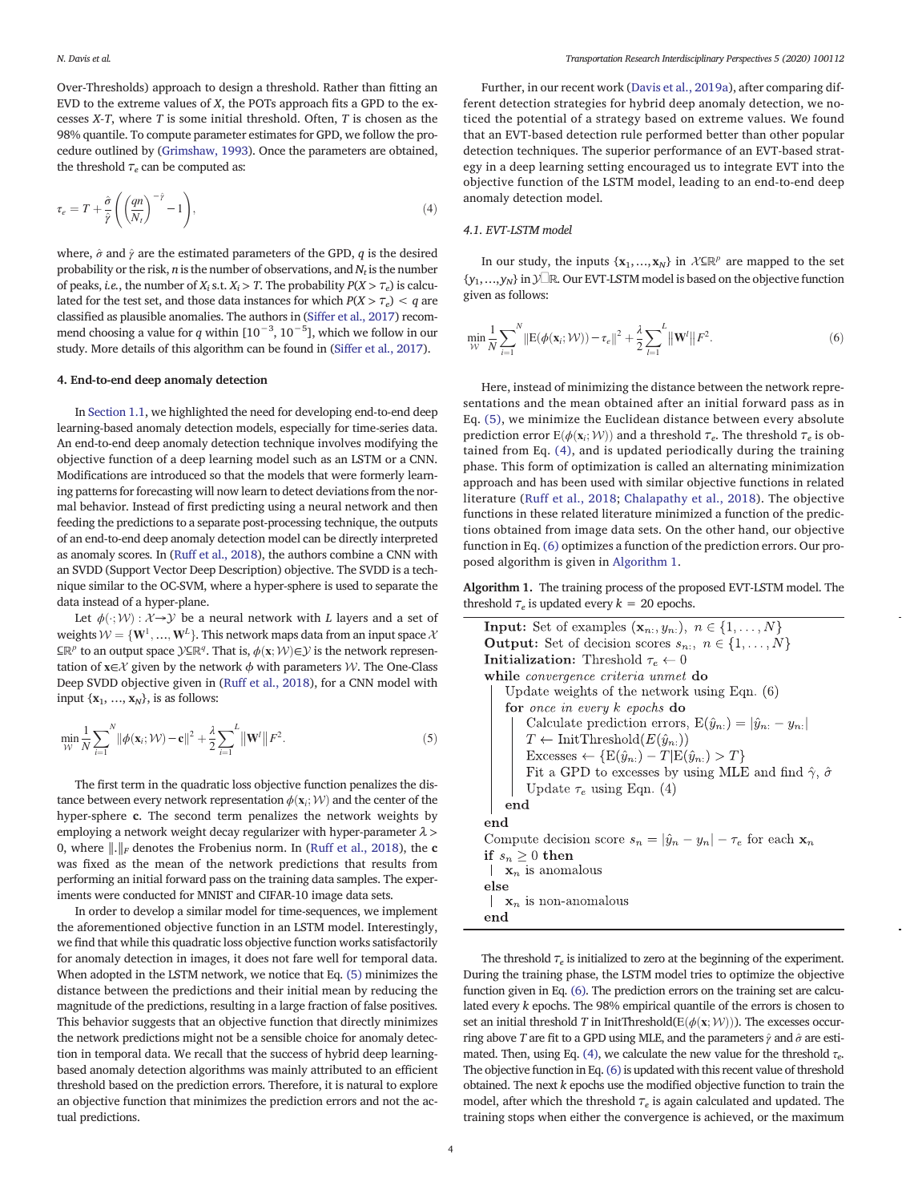Over-Thresholds) approach to design a threshold. Rather than fitting an EVD to the extreme values of *X*, the POTs approach fits a GPD to the excesses *X-T*, where *T* is some initial threshold. Often, *T* is chosen as the 98% quantile. To compute parameter estimates for GPD, we follow the procedure outlined by (Grimshaw, 1993). Once the parameters are obtained, the threshold  $\tau_e$  can be computed as:

$$
\tau_e = T + \frac{\hat{\sigma}}{\hat{r}} \left( \left( \frac{qn}{N_t} \right)^{-\hat{r}} - 1 \right),\tag{4}
$$

where,  $\hat{\sigma}$  and  $\hat{\gamma}$  are the estimated parameters of the GPD, *q* is the desired probability or the risk, *n* is the number of observations, and *N<sup>t</sup>* is the number of peaks, *i.e.*, the number of  $X_i$  s.t.  $X_i > T$ . The probability  $P(X > T_e)$  is calculated for the test set, and those data instances for which  $P(X > T_e) < q$  are classified as plausible anomalies. The authors in (Siffer et al., 2017) recommend choosing a value for *q* within [10−<sup>3</sup> , 10−<sup>5</sup> ], which we follow in our study. More details of this algorithm can be found in (Siffer et al., 2017).

#### 4. End-to-end deep anomaly detection

In Section 1.1, we highlighted the need for developing end-to-end deep learning-based anomaly detection models, especially for time-series data. An end-to-end deep anomaly detection technique involves modifying the objective function of a deep learning model such as an LSTM or a CNN. Modifications are introduced so that the models that were formerly learning patterns for forecasting will now learn to detect deviations from the normal behavior. Instead of first predicting using a neural network and then feeding the predictions to a separate post-processing technique, the outputs of an end-to-end deep anomaly detection model can be directly interpreted as anomaly scores. In (Ruff et al., 2018), the authors combine a CNN with an SVDD (Support Vector Deep Description) objective. The SVDD is a technique similar to the OC-SVM, where a hyper-sphere is used to separate the data instead of a hyper-plane.

Let  $\phi(\cdot; \mathcal{W}) : \mathcal{X} \rightarrow \mathcal{Y}$  be a neural network with *L* layers and a set of weights  $\mathcal{W} = \{\mathbf{W}^1,...,\mathbf{W}^L\}$ . This network maps data from an input space  $\mathcal{X}$  $\subseteq \mathbb{R}^p$  to an output space  $\mathcal{Y} \subseteq \mathbb{R}^q$ . That is,  $\phi(\mathbf{x}; \mathcal{W}) \in \mathcal{Y}$  is the network representation of  $x \in \mathcal{X}$  given by the network  $\phi$  with parameters  $\mathcal{W}$ . The One-Class Deep SVDD objective given in (Ruff et al., 2018), for a CNN model with input  $\{x_1, ..., x_N\}$ , is as follows:

$$
\min_{\mathcal{W}} \frac{1}{N} \sum_{i=1}^{N} ||\phi(\mathbf{x}_i; \mathcal{W}) - \mathbf{c}||^2 + \frac{\lambda}{2} \sum_{i=1}^{L} ||\mathbf{W}^i|| F^2.
$$
 (5)

The first term in the quadratic loss objective function penalizes the distance between every network representation  $\phi(\mathbf{x}_i; \mathcal{W})$  and the center of the hyper-sphere c. The second term penalizes the network weights by employing a network weight decay regularizer with hyper-parameter  $\lambda$  > 0, where  $\|\cdot\|_F$  denotes the Frobenius norm. In (Ruff et al., 2018), the **c** was fixed as the mean of the network predictions that results from performing an initial forward pass on the training data samples. The experiments were conducted for MNIST and CIFAR-10 image data sets.

In order to develop a similar model for time-sequences, we implement the aforementioned objective function in an LSTM model. Interestingly, we find that while this quadratic loss objective function works satisfactorily for anomaly detection in images, it does not fare well for temporal data. When adopted in the LSTM network, we notice that Eq. (5) minimizes the distance between the predictions and their initial mean by reducing the magnitude of the predictions, resulting in a large fraction of false positives. This behavior suggests that an objective function that directly minimizes the network predictions might not be a sensible choice for anomaly detection in temporal data. We recall that the success of hybrid deep learningbased anomaly detection algorithms was mainly attributed to an efficient threshold based on the prediction errors. Therefore, it is natural to explore an objective function that minimizes the prediction errors and not the actual predictions.

Further, in our recent work (Davis et al., 2019a), after comparing different detection strategies for hybrid deep anomaly detection, we noticed the potential of a strategy based on extreme values. We found that an EVT-based detection rule performed better than other popular detection techniques. The superior performance of an EVT-based strategy in a deep learning setting encouraged us to integrate EVT into the objective function of the LSTM model, leading to an end-to-end deep anomaly detection model.

#### *4.1. EVT-LSTM model*

In our study, the inputs  $\{x_1, ..., x_N\}$  in  $\mathcal{X} \subseteq \mathbb{R}^p$  are mapped to the set {*y*1,…,*yN*} inY⊆ℝ. Our EVT-LSTM model is based on the objective function given as follows:

$$
\min_{\mathcal{W}} \frac{1}{N} \sum_{i=1}^{N} \|\mathbf{E}(\phi(\mathbf{x}_i; \mathcal{W})) - \tau_e\|^2 + \frac{\lambda}{2} \sum_{l=1}^{L} \|\mathbf{W}^l\| F^2.
$$
 (6)

Here, instead of minimizing the distance between the network representations and the mean obtained after an initial forward pass as in Eq. (5), we minimize the Euclidean distance between every absolute prediction error  $E(\phi(\mathbf{x}_i; \mathcal{W}))$  and a threshold  $\tau_e$ . The threshold  $\tau_e$  is obtained from Eq. (4), and is updated periodically during the training phase. This form of optimization is called an alternating minimization approach and has been used with similar objective functions in related literature (Ruff et al., 2018; Chalapathy et al., 2018). The objective functions in these related literature minimized a function of the predictions obtained from image data sets. On the other hand, our objective function in Eq. (6) optimizes a function of the prediction errors. Our proposed algorithm is given in Algorithm 1.

Algorithm 1. The training process of the proposed EVT-LSTM model. The threshold  $\tau_e$  is updated every  $k = 20$  epochs.

| <b>Input:</b> Set of examples $(\mathbf{x}_n, y_n)$ , $n \in \{1, , N\}$          |
|-----------------------------------------------------------------------------------|
| <b>Output:</b> Set of decision scores $s_n$ , $n \in \{1, , N\}$                  |
| <b>Initialization:</b> Threshold $\tau_e \leftarrow 0$                            |
| while <i>convergence criteria unmet</i> do                                        |
| Update weights of the network using Eqn. $(6)$                                    |
| for once in every $k$ epochs do                                                   |
| Calculate prediction errors, $E(\hat{y}_n) =  \hat{y}_n - y_n $                   |
| $T \leftarrow \text{InitThreshold}(E(\hat{y}_{n:}))$                              |
| Excesses $\leftarrow \{E(\hat{y}_{n:}) - T E(\hat{y}_{n:}) > T\}$                 |
| Fit a GPD to excesses by using MLE and find $\hat{\gamma}$ , $\hat{\sigma}$       |
| Update $\tau_e$ using Eqn. (4)                                                    |
| $_{\mathrm{end}}$                                                                 |
| end                                                                               |
| Compute decision score $s_n =  \hat{y}_n - y_n  - \tau_e$ for each $\mathbf{x}_n$ |
| if $s_n \geq 0$ then                                                              |
| $\mathbf{x}_n$ is anomalous                                                       |
| else                                                                              |
| $\mathbf{x}_n$ is non-anomalous                                                   |
| end                                                                               |

The threshold  $\tau_e$  is initialized to zero at the beginning of the experiment. During the training phase, the LSTM model tries to optimize the objective function given in Eq. (6). The prediction errors on the training set are calculated every *k* epochs. The 98% empirical quantile of the errors is chosen to set an initial threshold *T* in InitThreshold( $E(\phi(\mathbf{x}; \mathcal{W}))$ ). The excesses occurring above *T* are fit to a GPD using MLE, and the parameters  $\hat{\gamma}$  and  $\hat{\sigma}$  are estimated. Then, using Eq. (4), we calculate the new value for the threshold τ*<sup>e</sup>* . The objective function in Eq. (6) is updated with this recent value of threshold obtained. The next *k* epochs use the modified objective function to train the model, after which the threshold τ*<sup>e</sup>* is again calculated and updated. The training stops when either the convergence is achieved, or the maximum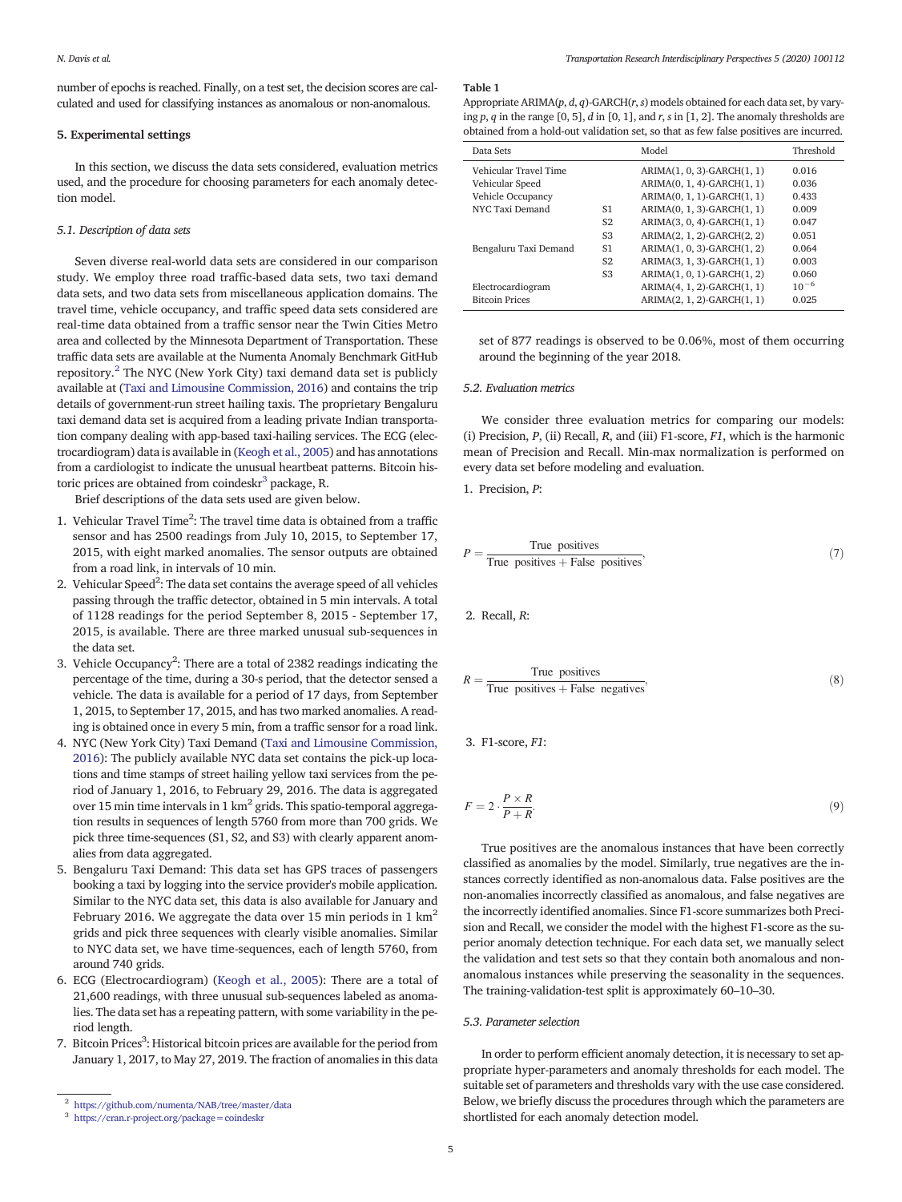number of epochs is reached. Finally, on a test set, the decision scores are calculated and used for classifying instances as anomalous or non-anomalous.

#### 5. Experimental settings

In this section, we discuss the data sets considered, evaluation metrics used, and the procedure for choosing parameters for each anomaly detection model.

#### *5.1. Description of data sets*

Seven diverse real-world data sets are considered in our comparison study. We employ three road traffic-based data sets, two taxi demand data sets, and two data sets from miscellaneous application domains. The travel time, vehicle occupancy, and traffic speed data sets considered are real-time data obtained from a traffic sensor near the Twin Cities Metro area and collected by the Minnesota Department of Transportation. These traffic data sets are available at the Numenta Anomaly Benchmark GitHub repository.<sup>2</sup> The NYC (New York City) taxi demand data set is publicly available at (Taxi and Limousine Commission, 2016) and contains the trip details of government-run street hailing taxis. The proprietary Bengaluru taxi demand data set is acquired from a leading private Indian transportation company dealing with app-based taxi-hailing services. The ECG (electrocardiogram) data is available in (Keogh et al., 2005) and has annotations from a cardiologist to indicate the unusual heartbeat patterns. Bitcoin historic prices are obtained from coindeskr $^3$  package, R.

Brief descriptions of the data sets used are given below.

- 1. Vehicular Travel Time<sup>2</sup>: The travel time data is obtained from a traffic sensor and has 2500 readings from July 10, 2015, to September 17, 2015, with eight marked anomalies. The sensor outputs are obtained from a road link, in intervals of 10 min.
- 2. Vehicular Speed<sup>2</sup>: The data set contains the average speed of all vehicles passing through the traffic detector, obtained in 5 min intervals. A total of 1128 readings for the period September 8, 2015 - September 17, 2015, is available. There are three marked unusual sub-sequences in the data set.
- 3. Vehicle Occupancy<sup>2</sup>: There are a total of 2382 readings indicating the percentage of the time, during a 30-s period, that the detector sensed a vehicle. The data is available for a period of 17 days, from September 1, 2015, to September 17, 2015, and has two marked anomalies. A reading is obtained once in every 5 min, from a traffic sensor for a road link.
- 4. NYC (New York City) Taxi Demand (Taxi and Limousine Commission, 2016): The publicly available NYC data set contains the pick-up locations and time stamps of street hailing yellow taxi services from the period of January 1, 2016, to February 29, 2016. The data is aggregated over 15 min time intervals in 1 km $^2$  grids. This spatio-temporal aggregation results in sequences of length 5760 from more than 700 grids. We pick three time-sequences (S1, S2, and S3) with clearly apparent anomalies from data aggregated.
- 5. Bengaluru Taxi Demand: This data set has GPS traces of passengers booking a taxi by logging into the service provider's mobile application. Similar to the NYC data set, this data is also available for January and February 2016. We aggregate the data over 15 min periods in 1  $\text{km}^2$ grids and pick three sequences with clearly visible anomalies. Similar to NYC data set, we have time-sequences, each of length 5760, from around 740 grids.
- 6. ECG (Electrocardiogram) (Keogh et al., 2005): There are a total of 21,600 readings, with three unusual sub-sequences labeled as anomalies. The data set has a repeating pattern, with some variability in the period length.
- 7. Bitcoin Prices<sup>3</sup>: Historical bitcoin prices are available for the period from January 1, 2017, to May 27, 2019. The fraction of anomalies in this data

#### Table 1

Appropriate ARIMA(*p*, *d*, *q*)-GARCH(*r*, *s*) models obtained for each data set, by varying *p*, *q* in the range [0, 5], *d* in [0, 1], and *r*, *s* in [1, 2]. The anomaly thresholds are obtained from a hold-out validation set, so that as few false positives are incurred.

| Data Sets             |                | Model                      | Threshold |
|-----------------------|----------------|----------------------------|-----------|
| Vehicular Travel Time |                | ARIMA(1, 0, 3)-GARCH(1, 1) | 0.016     |
| Vehicular Speed       |                | ARIMA(0, 1, 4)-GARCH(1, 1) | 0.036     |
| Vehicle Occupancy     |                | ARIMA(0, 1, 1)-GARCH(1, 1) | 0.433     |
| NYC Taxi Demand       | S1             | ARIMA(0, 1, 3)-GARCH(1, 1) | 0.009     |
|                       | S <sub>2</sub> | ARIMA(3, 0, 4)-GARCH(1, 1) | 0.047     |
|                       | S <sub>3</sub> | ARIMA(2, 1, 2)-GARCH(2, 2) | 0.051     |
| Bengaluru Taxi Demand | S1             | ARIMA(1, 0, 3)-GARCH(1, 2) | 0.064     |
|                       | S <sub>2</sub> | ARIMA(3, 1, 3)-GARCH(1, 1) | 0.003     |
|                       | S <sub>3</sub> | ARIMA(1, 0, 1)-GARCH(1, 2) | 0.060     |
| Electrocardiogram     |                | ARIMA(4, 1, 2)-GARCH(1, 1) | $10^{-6}$ |
| <b>Bitcoin Prices</b> |                | ARIMA(2, 1, 2)-GARCH(1, 1) | 0.025     |

set of 877 readings is observed to be 0.06%, most of them occurring around the beginning of the year 2018.

#### *5.2. Evaluation metrics*

We consider three evaluation metrics for comparing our models: (i) Precision, *P*, (ii) Recall, *R*, and (iii) F1-score, *F1*, which is the harmonic mean of Precision and Recall. Min-max normalization is performed on every data set before modeling and evaluation.

1. Precision, *P*:

$$
P = \frac{\text{True positives}}{\text{True positives} + \text{False positives}}\tag{7}
$$

2. Recall, *R*:

$$
R = \frac{\text{True positives}}{\text{True positives} + \text{False negatives}}\tag{8}
$$

3. F1-score, *F1*:

$$
F = 2 \cdot \frac{P \times R}{P + R}.\tag{9}
$$

True positives are the anomalous instances that have been correctly classified as anomalies by the model. Similarly, true negatives are the instances correctly identified as non-anomalous data. False positives are the non-anomalies incorrectly classified as anomalous, and false negatives are the incorrectly identified anomalies. Since F1-score summarizes both Precision and Recall, we consider the model with the highest F1-score as the superior anomaly detection technique. For each data set, we manually select the validation and test sets so that they contain both anomalous and nonanomalous instances while preserving the seasonality in the sequences. The training-validation-test split is approximately 60–10–30.

#### *5.3. Parameter selection*

In order to perform efficient anomaly detection, it is necessary to set appropriate hyper-parameters and anomaly thresholds for each model. The suitable set of parameters and thresholds vary with the use case considered. Below, we briefly discuss the procedures through which the parameters are shortlisted for each anomaly detection model.

<sup>2</sup> https://github.com/numenta/NAB/tree/master/data

<sup>&</sup>lt;sup>3</sup> https://cran.r-project.org/package=coindeskr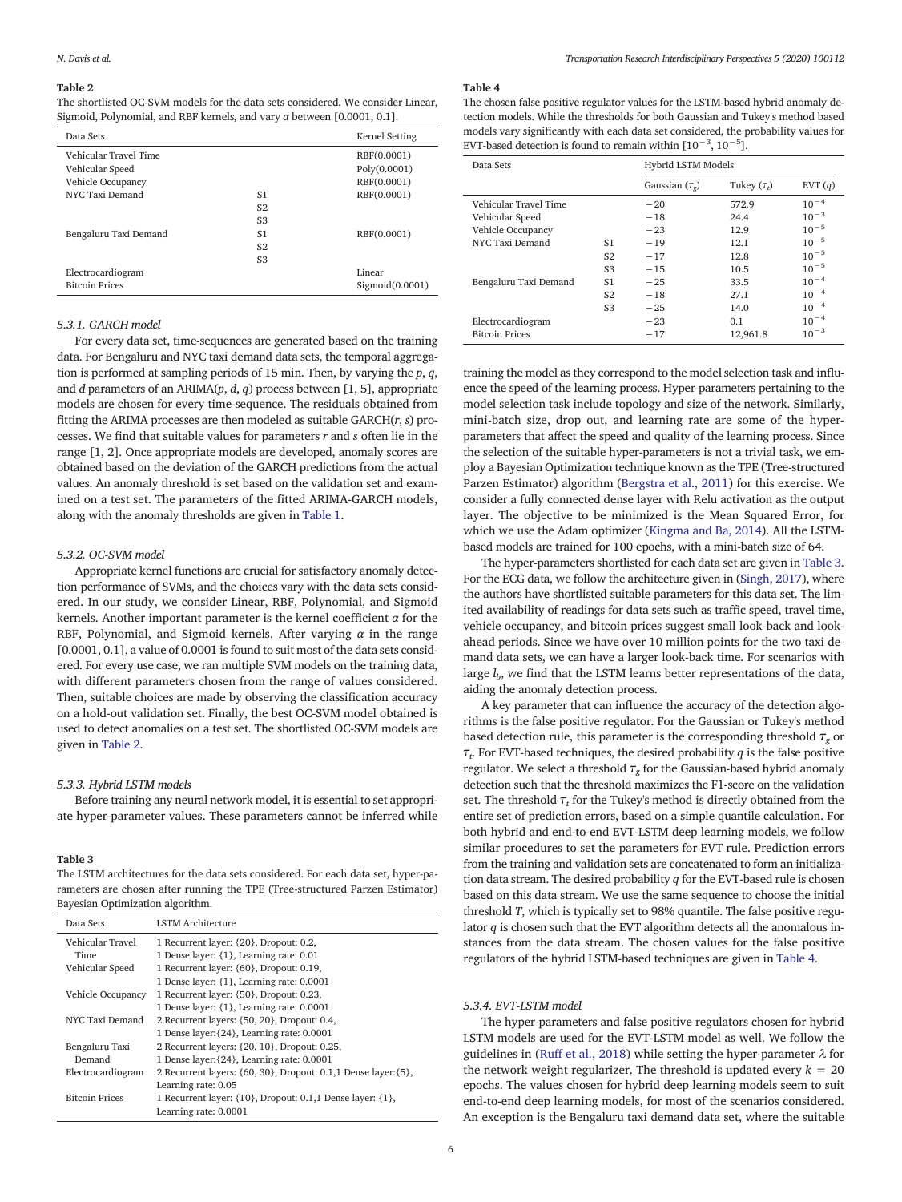#### Table 2

The shortlisted OC-SVM models for the data sets considered. We consider Linear, Sigmoid, Polynomial, and RBF kernels, and vary  $\alpha$  between [0.0001, 0.1].

| Data Sets             |                | Kernel Setting  |
|-----------------------|----------------|-----------------|
| Vehicular Travel Time |                | RBF(0.0001)     |
| Vehicular Speed       |                | Poly(0.0001)    |
| Vehicle Occupancy     |                | RBF(0.0001)     |
| NYC Taxi Demand       | S1             | RBF(0.0001)     |
|                       | S <sub>2</sub> |                 |
|                       | S <sub>3</sub> |                 |
| Bengaluru Taxi Demand | S1             | RBF(0.0001)     |
|                       | S <sub>2</sub> |                 |
|                       | S <sub>3</sub> |                 |
| Electrocardiogram     |                | Linear          |
| <b>Bitcoin Prices</b> |                | Sigmoid(0.0001) |
|                       |                |                 |

#### *5.3.1. GARCH model*

For every data set, time-sequences are generated based on the training data. For Bengaluru and NYC taxi demand data sets, the temporal aggregation is performed at sampling periods of 15 min. Then, by varying the *p*, *q*, and *d* parameters of an ARIMA(*p*, *d*, *q*) process between [1, 5], appropriate models are chosen for every time-sequence. The residuals obtained from fitting the ARIMA processes are then modeled as suitable GARCH(*r*, *s*) processes. We find that suitable values for parameters *r* and *s* often lie in the range [1, 2]. Once appropriate models are developed, anomaly scores are obtained based on the deviation of the GARCH predictions from the actual values. An anomaly threshold is set based on the validation set and examined on a test set. The parameters of the fitted ARIMA-GARCH models, along with the anomaly thresholds are given in Table 1.

#### *5.3.2. OC-SVM model*

Appropriate kernel functions are crucial for satisfactory anomaly detection performance of SVMs, and the choices vary with the data sets considered. In our study, we consider Linear, RBF, Polynomial, and Sigmoid kernels. Another important parameter is the kernel coefficient  $\alpha$  for the RBF, Polynomial, and Sigmoid kernels. After varying  $\alpha$  in the range [0.0001, 0.1], a value of 0.0001 is found to suit most of the data sets considered. For every use case, we ran multiple SVM models on the training data, with different parameters chosen from the range of values considered. Then, suitable choices are made by observing the classification accuracy on a hold-out validation set. Finally, the best OC-SVM model obtained is used to detect anomalies on a test set. The shortlisted OC-SVM models are given in Table 2.

#### *5.3.3. Hybrid LSTM models*

Before training any neural network model, it is essential to set appropriate hyper-parameter values. These parameters cannot be inferred while

#### Table 3

The LSTM architectures for the data sets considered. For each data set, hyper-parameters are chosen after running the TPE (Tree-structured Parzen Estimator) Bayesian Optimization algorithm.

| Data Sets                       | <b>LSTM</b> Architecture                                                          |
|---------------------------------|-----------------------------------------------------------------------------------|
| Vehicular Travel<br><b>Time</b> | 1 Recurrent layer: {20}, Dropout: 0.2,<br>1 Dense layer: {1}, Learning rate: 0.01 |
| Vehicular Speed                 | 1 Recurrent layer: {60}, Dropout: 0.19,                                           |
|                                 | 1 Dense layer: {1}, Learning rate: 0.0001                                         |
| Vehicle Occupancy               | 1 Recurrent layer: {50}, Dropout: 0.23,                                           |
|                                 | 1 Dense layer: {1}, Learning rate: 0.0001                                         |
| NYC Taxi Demand                 | 2 Recurrent layers: {50, 20}, Dropout: 0.4,                                       |
|                                 | 1 Dense layer: {24}, Learning rate: 0.0001                                        |
| Bengaluru Taxi                  | 2 Recurrent layers: {20, 10}, Dropout: 0.25,                                      |
| Demand                          | 1 Dense layer: {24}, Learning rate: 0.0001                                        |
| Electrocardiogram               | 2 Recurrent layers: {60, 30}, Dropout: 0.1,1 Dense layer: {5},                    |
|                                 | Learning rate: 0.05                                                               |
| <b>Bitcoin Prices</b>           | 1 Recurrent layer: {10}, Dropout: 0.1,1 Dense layer: {1},                         |
|                                 | Learning rate: 0.0001                                                             |

#### Table 4

The chosen false positive regulator values for the LSTM-based hybrid anomaly detection models. While the thresholds for both Gaussian and Tukey's method based models vary significantly with each data set considered, the probability values for EVT-based detection is found to remain within  $[10^{-3}, 10^{-5}]$ .

| Data Sets             | Hybrid LSTM Models |                     |                  |           |
|-----------------------|--------------------|---------------------|------------------|-----------|
|                       |                    | Gaussian $(\tau_o)$ | Tukey $(\tau_t)$ | EVT $(q)$ |
| Vehicular Travel Time |                    | $-20$               | 572.9            | $10^{-4}$ |
| Vehicular Speed       |                    | $-18$               | 24.4             | $10^{-3}$ |
| Vehicle Occupancy     |                    | $-23$               | 12.9             | $10^{-5}$ |
| NYC Taxi Demand       | S1                 | $-19$               | 12.1             | $10^{-5}$ |
|                       | S <sub>2</sub>     | $-17$               | 12.8             | $10^{-5}$ |
|                       | S <sub>3</sub>     | $-15$               | 10.5             | $10^{-5}$ |
| Bengaluru Taxi Demand | S1                 | $-25$               | 33.5             | $10^{-4}$ |
|                       | S <sub>2</sub>     | $-18$               | 27.1             | $10^{-4}$ |
|                       | S <sub>3</sub>     | $-25$               | 14.0             | $10^{-4}$ |
| Electrocardiogram     |                    | $-23$               | 0.1              | $10^{-4}$ |
| <b>Bitcoin Prices</b> |                    | $-17$               | 12.961.8         | $10^{-3}$ |

training the model as they correspond to the model selection task and influence the speed of the learning process. Hyper-parameters pertaining to the model selection task include topology and size of the network. Similarly, mini-batch size, drop out, and learning rate are some of the hyperparameters that affect the speed and quality of the learning process. Since the selection of the suitable hyper-parameters is not a trivial task, we employ a Bayesian Optimization technique known as the TPE (Tree-structured Parzen Estimator) algorithm (Bergstra et al., 2011) for this exercise. We consider a fully connected dense layer with Relu activation as the output layer. The objective to be minimized is the Mean Squared Error, for which we use the Adam optimizer (Kingma and Ba, 2014). All the LSTMbased models are trained for 100 epochs, with a mini-batch size of 64.

The hyper-parameters shortlisted for each data set are given in Table 3. For the ECG data, we follow the architecture given in (Singh, 2017), where the authors have shortlisted suitable parameters for this data set. The limited availability of readings for data sets such as traffic speed, travel time, vehicle occupancy, and bitcoin prices suggest small look-back and lookahead periods. Since we have over 10 million points for the two taxi demand data sets, we can have a larger look-back time. For scenarios with large *l<sup>b</sup>* , we find that the LSTM learns better representations of the data, aiding the anomaly detection process.

A key parameter that can influence the accuracy of the detection algorithms is the false positive regulator. For the Gaussian or Tukey's method based detection rule, this parameter is the corresponding threshold  $\tau_{\varphi}$  or τ*t* . For EVT-based techniques, the desired probability *q* is the false positive regulator. We select a threshold  $\tau_g$  for the Gaussian-based hybrid anomaly detection such that the threshold maximizes the F1-score on the validation set. The threshold  $\tau_t$  for the Tukey's method is directly obtained from the entire set of prediction errors, based on a simple quantile calculation. For both hybrid and end-to-end EVT-LSTM deep learning models, we follow similar procedures to set the parameters for EVT rule. Prediction errors from the training and validation sets are concatenated to form an initialization data stream. The desired probability *q* for the EVT-based rule is chosen based on this data stream. We use the same sequence to choose the initial threshold *T*, which is typically set to 98% quantile. The false positive regulator *q* is chosen such that the EVT algorithm detects all the anomalous instances from the data stream. The chosen values for the false positive regulators of the hybrid LSTM-based techniques are given in Table 4.

#### *5.3.4. EVT-LSTM model*

The hyper-parameters and false positive regulators chosen for hybrid LSTM models are used for the EVT-LSTM model as well. We follow the guidelines in (Ruff et al., 2018) while setting the hyper-parameter  $\lambda$  for the network weight regularizer. The threshold is updated every  $k = 20$ epochs. The values chosen for hybrid deep learning models seem to suit end-to-end deep learning models, for most of the scenarios considered. An exception is the Bengaluru taxi demand data set, where the suitable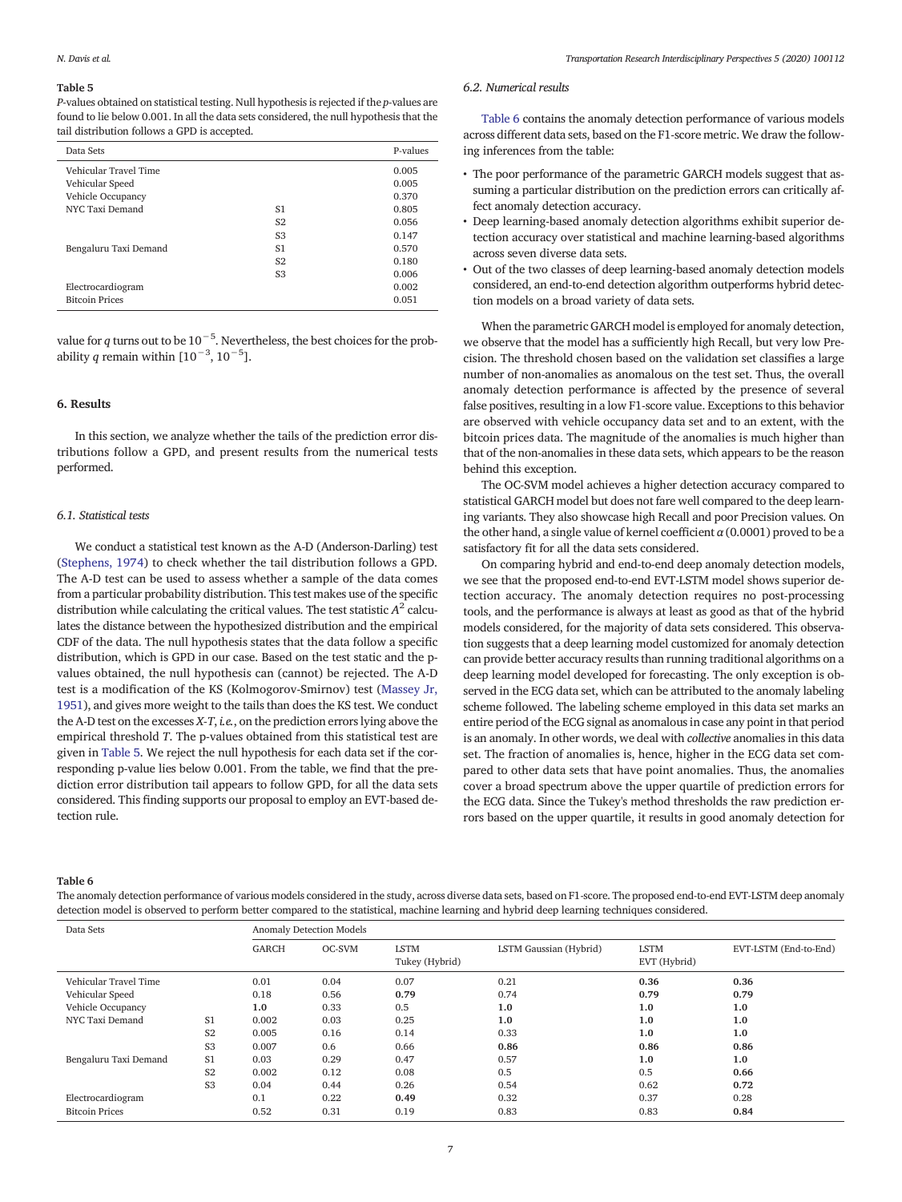#### Table 5

*P*-values obtained on statistical testing. Null hypothesis is rejected if the *p*-values are found to lie below 0.001. In all the data sets considered, the null hypothesis that the tail distribution follows a GPD is accepted.

| Data Sets             |                | P-values |
|-----------------------|----------------|----------|
| Vehicular Travel Time |                | 0.005    |
| Vehicular Speed       |                | 0.005    |
| Vehicle Occupancy     |                | 0.370    |
| NYC Taxi Demand       | S1             | 0.805    |
|                       | S <sub>2</sub> | 0.056    |
|                       | S <sub>3</sub> | 0.147    |
| Bengaluru Taxi Demand | S1             | 0.570    |
|                       | S <sub>2</sub> | 0.180    |
|                       | S <sub>3</sub> | 0.006    |
| Electrocardiogram     |                | 0.002    |
| <b>Bitcoin Prices</b> |                | 0.051    |

value for *<sup>q</sup>* turns out to be 10−<sup>5</sup> . Nevertheless, the best choices for the probability *q* remain within  $[10^{-3}, 10^{-5}]$ .

#### 6. Results

In this section, we analyze whether the tails of the prediction error distributions follow a GPD, and present results from the numerical tests performed.

#### *6.1. Statistical tests*

We conduct a statistical test known as the A-D (Anderson-Darling) test (Stephens, 1974) to check whether the tail distribution follows a GPD. The A-D test can be used to assess whether a sample of the data comes from a particular probability distribution. This test makes use of the specific distribution while calculating the critical values. The test statistic  $A^2$  calculates the distance between the hypothesized distribution and the empirical CDF of the data. The null hypothesis states that the data follow a specific distribution, which is GPD in our case. Based on the test static and the pvalues obtained, the null hypothesis can (cannot) be rejected. The A-D test is a modification of the KS (Kolmogorov-Smirnov) test (Massey Jr, 1951), and gives more weight to the tails than does the KS test. We conduct the A-D test on the excesses *X-T*, *i.e.*, on the prediction errors lying above the empirical threshold *T*. The p-values obtained from this statistical test are given in Table 5. We reject the null hypothesis for each data set if the corresponding p-value lies below 0.001. From the table, we find that the prediction error distribution tail appears to follow GPD, for all the data sets considered. This finding supports our proposal to employ an EVT-based detection rule.

#### *6.2. Numerical results*

Table 6 contains the anomaly detection performance of various models across different data sets, based on the F1-score metric. We draw the following inferences from the table:

- The poor performance of the parametric GARCH models suggest that assuming a particular distribution on the prediction errors can critically affect anomaly detection accuracy.
- Deep learning-based anomaly detection algorithms exhibit superior detection accuracy over statistical and machine learning-based algorithms across seven diverse data sets.
- Out of the two classes of deep learning-based anomaly detection models considered, an end-to-end detection algorithm outperforms hybrid detection models on a broad variety of data sets.

When the parametric GARCH model is employed for anomaly detection, we observe that the model has a sufficiently high Recall, but very low Precision. The threshold chosen based on the validation set classifies a large number of non-anomalies as anomalous on the test set. Thus, the overall anomaly detection performance is affected by the presence of several false positives, resulting in a low F1-score value. Exceptions to this behavior are observed with vehicle occupancy data set and to an extent, with the bitcoin prices data. The magnitude of the anomalies is much higher than that of the non-anomalies in these data sets, which appears to be the reason behind this exception.

The OC-SVM model achieves a higher detection accuracy compared to statistical GARCH model but does not fare well compared to the deep learning variants. They also showcase high Recall and poor Precision values. On the other hand, a single value of kernel coefficient  $\alpha$  (0.0001) proved to be a satisfactory fit for all the data sets considered.

On comparing hybrid and end-to-end deep anomaly detection models, we see that the proposed end-to-end EVT-LSTM model shows superior detection accuracy. The anomaly detection requires no post-processing tools, and the performance is always at least as good as that of the hybrid models considered, for the majority of data sets considered. This observation suggests that a deep learning model customized for anomaly detection can provide better accuracy results than running traditional algorithms on a deep learning model developed for forecasting. The only exception is observed in the ECG data set, which can be attributed to the anomaly labeling scheme followed. The labeling scheme employed in this data set marks an entire period of the ECG signal as anomalous in case any point in that period is an anomaly. In other words, we deal with *collective* anomalies in this data set. The fraction of anomalies is, hence, higher in the ECG data set compared to other data sets that have point anomalies. Thus, the anomalies cover a broad spectrum above the upper quartile of prediction errors for the ECG data. Since the Tukey's method thresholds the raw prediction errors based on the upper quartile, it results in good anomaly detection for

#### Table 6

The anomaly detection performance of various models considered in the study, across diverse data sets, based on F1-score. The proposed end-to-end EVT-LSTM deep anomaly detection model is observed to perform better compared to the statistical, machine learning and hybrid deep learning techniques considered.

| Data Sets             |                | <b>Anomaly Detection Models</b> |        |                               |                        |                             |                       |
|-----------------------|----------------|---------------------------------|--------|-------------------------------|------------------------|-----------------------------|-----------------------|
|                       |                | GARCH                           | OC-SVM | <b>LSTM</b><br>Tukey (Hybrid) | LSTM Gaussian (Hybrid) | <b>LSTM</b><br>EVT (Hybrid) | EVT-LSTM (End-to-End) |
| Vehicular Travel Time |                | 0.01                            | 0.04   | 0.07                          | 0.21                   | 0.36                        | 0.36                  |
| Vehicular Speed       |                | 0.18                            | 0.56   | 0.79                          | 0.74                   | 0.79                        | 0.79                  |
| Vehicle Occupancy     |                | 1.0                             | 0.33   | 0.5                           | 1.0                    | 1.0                         | 1.0                   |
| NYC Taxi Demand       | S <sub>1</sub> | 0.002                           | 0.03   | 0.25                          | 1.0                    | 1.0                         | 1.0                   |
|                       | S <sub>2</sub> | 0.005                           | 0.16   | 0.14                          | 0.33                   | 1.0                         | 1.0                   |
|                       | S <sub>3</sub> | 0.007                           | 0.6    | 0.66                          | 0.86                   | 0.86                        | 0.86                  |
| Bengaluru Taxi Demand | S <sub>1</sub> | 0.03                            | 0.29   | 0.47                          | 0.57                   | 1.0                         | 1.0                   |
|                       | S <sub>2</sub> | 0.002                           | 0.12   | 0.08                          | 0.5                    | 0.5                         | 0.66                  |
|                       | S <sub>3</sub> | 0.04                            | 0.44   | 0.26                          | 0.54                   | 0.62                        | 0.72                  |
| Electrocardiogram     |                | 0.1                             | 0.22   | 0.49                          | 0.32                   | 0.37                        | 0.28                  |
| <b>Bitcoin Prices</b> |                | 0.52                            | 0.31   | 0.19                          | 0.83                   | 0.83                        | 0.84                  |
|                       |                |                                 |        |                               |                        |                             |                       |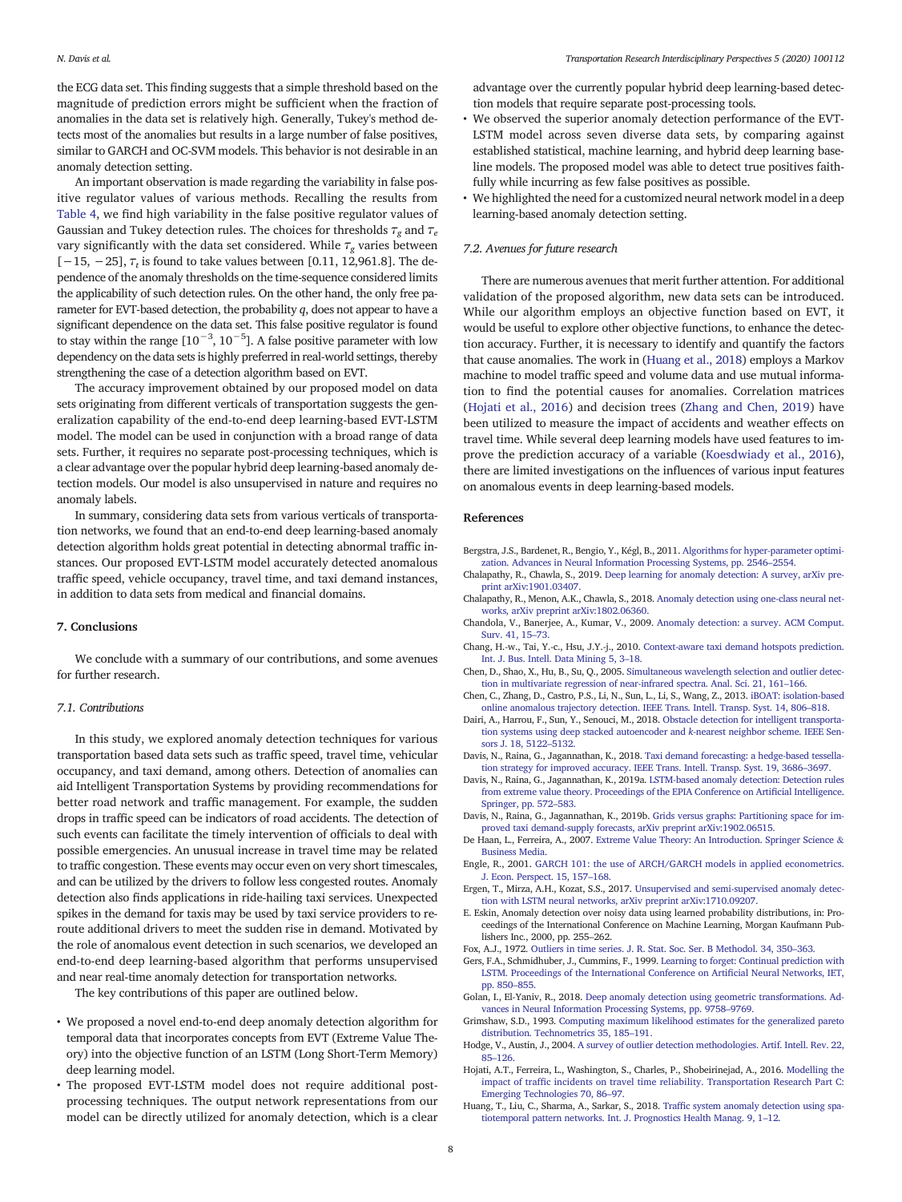the ECG data set. This finding suggests that a simple threshold based on the magnitude of prediction errors might be sufficient when the fraction of anomalies in the data set is relatively high. Generally, Tukey's method detects most of the anomalies but results in a large number of false positives, similar to GARCH and OC-SVM models. This behavior is not desirable in an anomaly detection setting.

An important observation is made regarding the variability in false positive regulator values of various methods. Recalling the results from Table 4, we find high variability in the false positive regulator values of Gaussian and Tukey detection rules. The choices for thresholds  $\tau_g$  and  $\tau_e$ vary significantly with the data set considered. While  $\tau_{\varphi}$  varies between [−15, −25], τ*<sup>t</sup>* is found to take values between [0.11, 12,961.8]. The dependence of the anomaly thresholds on the time-sequence considered limits the applicability of such detection rules. On the other hand, the only free parameter for EVT-based detection, the probability *q*, does not appear to have a significant dependence on the data set. This false positive regulator is found to stay within the range  $[10^{-3}, 10^{-5}]$ . A false positive parameter with low dependency on the data sets is highly preferred in real-world settings, thereby strengthening the case of a detection algorithm based on EVT.

The accuracy improvement obtained by our proposed model on data sets originating from different verticals of transportation suggests the generalization capability of the end-to-end deep learning-based EVT-LSTM model. The model can be used in conjunction with a broad range of data sets. Further, it requires no separate post-processing techniques, which is a clear advantage over the popular hybrid deep learning-based anomaly detection models. Our model is also unsupervised in nature and requires no anomaly labels.

In summary, considering data sets from various verticals of transportation networks, we found that an end-to-end deep learning-based anomaly detection algorithm holds great potential in detecting abnormal traffic instances. Our proposed EVT-LSTM model accurately detected anomalous traffic speed, vehicle occupancy, travel time, and taxi demand instances, in addition to data sets from medical and financial domains.

#### 7. Conclusions

We conclude with a summary of our contributions, and some avenues for further research.

#### *7.1. Contributions*

In this study, we explored anomaly detection techniques for various transportation based data sets such as traffic speed, travel time, vehicular occupancy, and taxi demand, among others. Detection of anomalies can aid Intelligent Transportation Systems by providing recommendations for better road network and traffic management. For example, the sudden drops in traffic speed can be indicators of road accidents. The detection of such events can facilitate the timely intervention of officials to deal with possible emergencies. An unusual increase in travel time may be related to traffic congestion. These events may occur even on very short timescales, and can be utilized by the drivers to follow less congested routes. Anomaly detection also finds applications in ride-hailing taxi services. Unexpected spikes in the demand for taxis may be used by taxi service providers to reroute additional drivers to meet the sudden rise in demand. Motivated by the role of anomalous event detection in such scenarios, we developed an end-to-end deep learning-based algorithm that performs unsupervised and near real-time anomaly detection for transportation networks.

The key contributions of this paper are outlined below.

- We proposed a novel end-to-end deep anomaly detection algorithm for temporal data that incorporates concepts from EVT (Extreme Value Theory) into the objective function of an LSTM (Long Short-Term Memory) deep learning model.
- The proposed EVT-LSTM model does not require additional postprocessing techniques. The output network representations from our model can be directly utilized for anomaly detection, which is a clear

advantage over the currently popular hybrid deep learning-based detection models that require separate post-processing tools.

- We observed the superior anomaly detection performance of the EVT-LSTM model across seven diverse data sets, by comparing against established statistical, machine learning, and hybrid deep learning baseline models. The proposed model was able to detect true positives faithfully while incurring as few false positives as possible.
- We highlighted the need for a customized neural network model in a deep learning-based anomaly detection setting.

#### *7.2. Avenues for future research*

There are numerous avenues that merit further attention. For additional validation of the proposed algorithm, new data sets can be introduced. While our algorithm employs an objective function based on EVT, it would be useful to explore other objective functions, to enhance the detection accuracy. Further, it is necessary to identify and quantify the factors that cause anomalies. The work in (Huang et al., 2018) employs a Markov machine to model traffic speed and volume data and use mutual information to find the potential causes for anomalies. Correlation matrices (Hojati et al., 2016) and decision trees (Zhang and Chen, 2019) have been utilized to measure the impact of accidents and weather effects on travel time. While several deep learning models have used features to improve the prediction accuracy of a variable (Koesdwiady et al., 2016), there are limited investigations on the influences of various input features on anomalous events in deep learning-based models.

#### References

- Bergstra, J.S., Bardenet, R., Bengio, Y., Kégl, B., 2011. Algorithms for hyper-parameter optimization. Advances in Neural Information Processing Systems, pp. 2546–2554.
- Chalapathy, R., Chawla, S., 2019. Deep learning for anomaly detection: A survey, arXiv preprint arXiv:1901.03407.
- Chalapathy, R., Menon, A.K., Chawla, S., 2018. Anomaly detection using one-class neural networks, arXiv preprint arXiv:1802.06360.
- Chandola, V., Banerjee, A., Kumar, V., 2009. Anomaly detection: a survey. ACM Comput. Surv. 41, 15–73.
- Chang, H.-w., Tai, Y.-c., Hsu, J.Y.-j., 2010. Context-aware taxi demand hotspots prediction. Int. J. Bus. Intell. Data Mining 5, 3–18.
- Chen, D., Shao, X., Hu, B., Su, Q., 2005. Simultaneous wavelength selection and outlier detection in multivariate regression of near-infrared spectra. Anal. Sci. 21, 161–166.
- Chen, C., Zhang, D., Castro, P.S., Li, N., Sun, L., Li, S., Wang, Z., 2013. iBOAT: isolation-based online anomalous trajectory detection. IEEE Trans. Intell. Transp. Syst. 14, 806–818.
- Dairi, A., Harrou, F., Sun, Y., Senouci, M., 2018. Obstacle detection for intelligent transportation systems using deep stacked autoencoder and *k*-nearest neighbor scheme. IEEE Sensors J. 18, 5122–5132.
- Davis, N., Raina, G., Jagannathan, K., 2018. Taxi demand forecasting: a hedge-based tessellation strategy for improved accuracy. IEEE Trans. Intell. Transp. Syst. 19, 3686–3697.
- Davis, N., Raina, G., Jagannathan, K., 2019a. LSTM-based anomaly detection: Detection rules from extreme value theory. Proceedings of the EPIA Conference on Artificial Intelligence. Springer, pp. 572–583.
- Davis, N., Raina, G., Jagannathan, K., 2019b. Grids versus graphs: Partitioning space for improved taxi demand-supply forecasts, arXiv preprint arXiv:1902.06515.
- De Haan, L., Ferreira, A., 2007. Extreme Value Theory: An Introduction. Springer Science & Business Media.
- Engle, R., 2001. GARCH 101: the use of ARCH/GARCH models in applied econometrics. J. Econ. Perspect. 15, 157–168.
- Ergen, T., Mirza, A.H., Kozat, S.S., 2017. Unsupervised and semi-supervised anomaly detection with LSTM neural networks, arXiv preprint arXiv:1710.09207.
- E. Eskin, Anomaly detection over noisy data using learned probability distributions, in: Proceedings of the International Conference on Machine Learning, Morgan Kaufmann Publishers Inc., 2000, pp. 255–262.
- Fox, A.J., 1972. Outliers in time series. J. R. Stat. Soc. Ser. B Methodol. 34, 350–363.
- Gers, F.A., Schmidhuber, J., Cummins, F., 1999. Learning to forget: Continual prediction with LSTM. Proceedings of the International Conference on Artificial Neural Networks, IET, pp. 850–855.
- Golan, I., El-Yaniv, R., 2018. Deep anomaly detection using geometric transformations. Advances in Neural Information Processing Systems, pp. 9758–9769.
- Grimshaw, S.D., 1993. Computing maximum likelihood estimates for the generalized pareto distribution. Technometrics 35, 185–191.
- Hodge, V., Austin, J., 2004. A survey of outlier detection methodologies. Artif. Intell. Rev. 22, 85–126.
- Hojati, A.T., Ferreira, L., Washington, S., Charles, P., Shobeirinejad, A., 2016. Modelling the impact of traffic incidents on travel time reliability. Transportation Research Part C: Emerging Technologies 70, 86–97.
- Huang, T., Liu, C., Sharma, A., Sarkar, S., 2018. Traffic system anomaly detection using spatiotemporal pattern networks. Int. J. Prognostics Health Manag. 9, 1–12.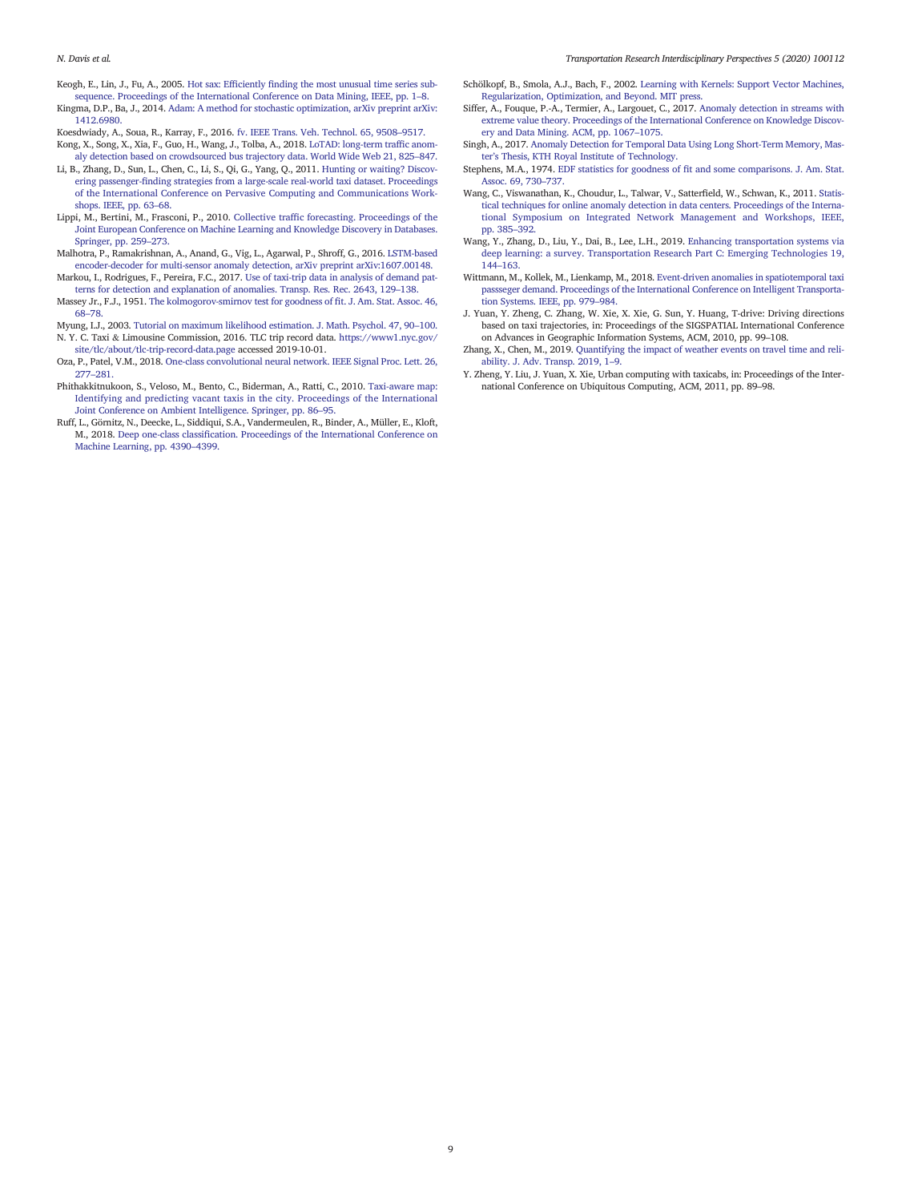- Keogh, E., Lin, J., Fu, A., 2005. Hot sax: Efficiently finding the most unusual time series subsequence. Proceedings of the International Conference on Data Mining, IEEE, pp. 1–8.
- Kingma, D.P., Ba, J., 2014. Adam: A method for stochastic optimization, arXiv preprint arXiv: 1412.6980.
- Koesdwiady, A., Soua, R., Karray, F., 2016. fv. IEEE Trans. Veh. Technol. 65, 9508–9517.
- Kong, X., Song, X., Xia, F., Guo, H., Wang, J., Tolba, A., 2018. LoTAD: long-term traffic anomaly detection based on crowdsourced bus trajectory data. World Wide Web 21, 825–847.
- Li, B., Zhang, D., Sun, L., Chen, C., Li, S., Qi, G., Yang, Q., 2011. Hunting or waiting? Discovering passenger-finding strategies from a large-scale real-world taxi dataset. Proceedings of the International Conference on Pervasive Computing and Communications Workshops. IEEE, pp. 63–68.
- Lippi, M., Bertini, M., Frasconi, P., 2010. Collective traffic forecasting. Proceedings of the Joint European Conference on Machine Learning and Knowledge Discovery in Databases. Springer, pp. 259–273.
- Malhotra, P., Ramakrishnan, A., Anand, G., Vig, L., Agarwal, P., Shroff, G., 2016. LSTM-based encoder-decoder for multi-sensor anomaly detection, arXiv preprint arXiv:1607.00148.
- Markou, I., Rodrigues, F., Pereira, F.C., 2017. Use of taxi-trip data in analysis of demand patterns for detection and explanation of anomalies. Transp. Res. Rec. 2643, 129–138.
- Massey Jr., F.J., 1951. The kolmogorov-smirnov test for goodness of fit. J. Am. Stat. Assoc. 46, 68–78.
- Myung, I.J., 2003. Tutorial on maximum likelihood estimation. J. Math. Psychol. 47, 90–100. N. Y. C. Taxi & Limousine Commission, 2016. TLC trip record data. https://www1.nyc.gov/ site/tlc/about/tlc-trip-record-data.page accessed 2019-10-01.
- Oza, P., Patel, V.M., 2018. One-class convolutional neural network. IEEE Signal Proc. Lett. 26, 277–281.
- Phithakkitnukoon, S., Veloso, M., Bento, C., Biderman, A., Ratti, C., 2010. Taxi-aware map: Identifying and predicting vacant taxis in the city. Proceedings of the International Joint Conference on Ambient Intelligence. Springer, pp. 86–95.
- Ruff, L., Görnitz, N., Deecke, L., Siddiqui, S.A., Vandermeulen, R., Binder, A., Müller, E., Kloft, M., 2018. Deep one-class classification. Proceedings of the International Conference on Machine Learning, pp. 4390–4399.
- Schölkopf, B., Smola, A.J., Bach, F., 2002. Learning with Kernels: Support Vector Machines, Regularization, Optimization, and Beyond. MIT press.
- Siffer, A., Fouque, P.-A., Termier, A., Largouet, C., 2017. Anomaly detection in streams with extreme value theory. Proceedings of the International Conference on Knowledge Discovery and Data Mining. ACM, pp. 1067–1075.
- Singh, A., 2017. Anomaly Detection for Temporal Data Using Long Short-Term Memory, Master's Thesis, KTH Royal Institute of Technology.
- Stephens, M.A., 1974. EDF statistics for goodness of fit and some comparisons. J. Am. Stat. Assoc. 69, 730–737.
- Wang, C., Viswanathan, K., Choudur, L., Talwar, V., Satterfield, W., Schwan, K., 2011. Statistical techniques for online anomaly detection in data centers. Proceedings of the International Symposium on Integrated Network Management and Workshops, IEEE, pp. 385–392.
- Wang, Y., Zhang, D., Liu, Y., Dai, B., Lee, L.H., 2019. Enhancing transportation systems via deep learning: a survey. Transportation Research Part C: Emerging Technologies 19, 144–163.
- Wittmann, M., Kollek, M., Lienkamp, M., 2018. Event-driven anomalies in spatiotemporal taxi passseger demand. Proceedings of the International Conference on Intelligent Transportation Systems. IEEE, pp. 979–984.
- J. Yuan, Y. Zheng, C. Zhang, W. Xie, X. Xie, G. Sun, Y. Huang, T-drive: Driving directions based on taxi trajectories, in: Proceedings of the SIGSPATIAL International Conference on Advances in Geographic Information Systems, ACM, 2010, pp. 99–108.
- Zhang, X., Chen, M., 2019. Quantifying the impact of weather events on travel time and reliability. J. Adv. Transp. 2019, 1–9.
- Y. Zheng, Y. Liu, J. Yuan, X. Xie, Urban computing with taxicabs, in: Proceedings of the International Conference on Ubiquitous Computing, ACM, 2011, pp. 89–98.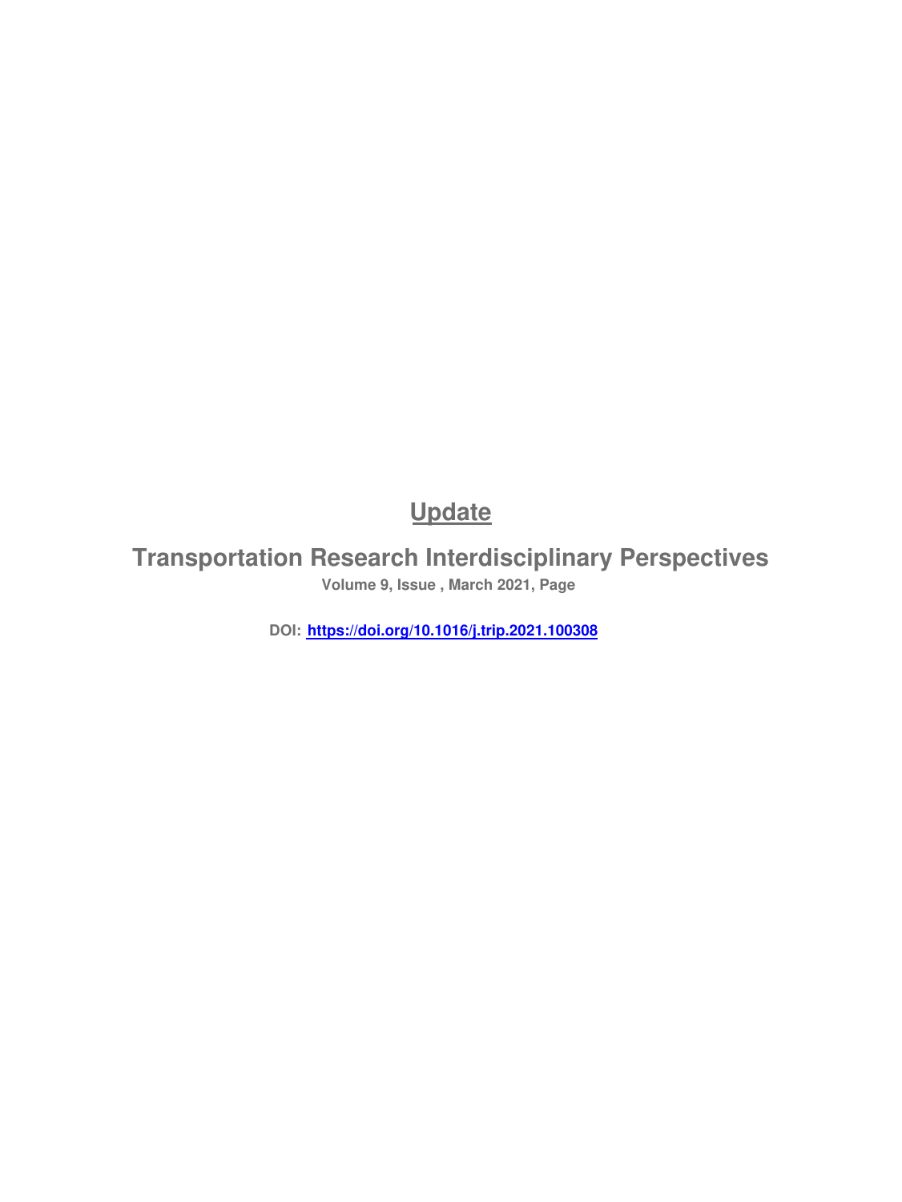# **Update**

**Transportation Research Interdisciplinary Perspectives Volume 9, Issue , March 2021, Page** 

**DOI: https://doi.org/10.1016/j.trip.2021.100308**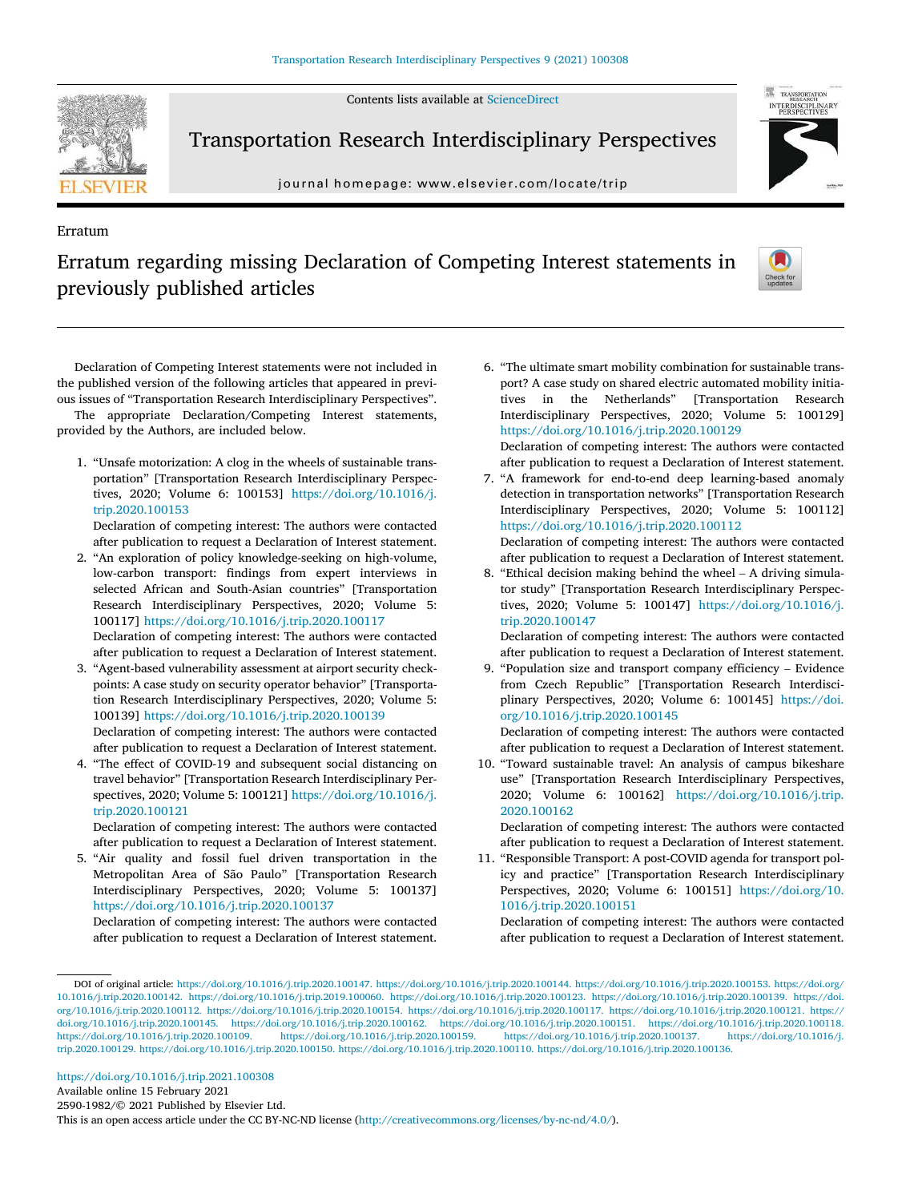Contents lists available at ScienceDirect



Erratum

Transportation Research Interdisciplinary Perspectives

journal homepage: www.elsevier.com/locate/trip



# Erratum regarding missing Declaration of Competing Interest statements in previously published articles



Declaration of Competing Interest statements were not included in the published version of the following articles that appeared in previous issues of "Transportation Research Interdisciplinary Perspectives". The appropriate Declaration/Competing Interest statements,

provided by the Authors, are included below.

1. "Unsafe motorization: A clog in the wheels of sustainable transportation" [Transportation Research Interdisciplinary Perspectives, 2020; Volume 6: 100153] https://doi.org/10.1016/j. trip.2020.100153

Declaration of competing interest: The authors were contacted after publication to request a Declaration of Interest statement.

2. "An exploration of policy knowledge-seeking on high-volume, low-carbon transport: findings from expert interviews in selected African and South-Asian countries" [Transportation Research Interdisciplinary Perspectives, 2020; Volume 5: 100117] https://doi.org/10.1016/j.trip.2020.100117 Declaration of competing interest: The authors were contacted after publication to request a Declaration of Interest statement.

3. "Agent-based vulnerability assessment at airport security checkpoints: A case study on security operator behavior" [Transportation Research Interdisciplinary Perspectives, 2020; Volume 5: 100139] https://doi.org/10.1016/j.trip.2020.100139 Declaration of competing interest: The authors were contacted after publication to request a Declaration of Interest statement.

4. "The effect of COVID-19 and subsequent social distancing on travel behavior" [Transportation Research Interdisciplinary Perspectives, 2020; Volume 5: 100121] https://doi.org/10.1016/j. trip.2020.100121

Declaration of competing interest: The authors were contacted after publication to request a Declaration of Interest statement.

5. "Air quality and fossil fuel driven transportation in the Metropolitan Area of São Paulo" [Transportation Research Interdisciplinary Perspectives, 2020; Volume 5: 100137] https://doi.org/10.1016/j.trip.2020.100137

Declaration of competing interest: The authors were contacted after publication to request a Declaration of Interest statement. 6. "The ultimate smart mobility combination for sustainable transport? A case study on shared electric automated mobility initiatives in the Netherlands" [Transportation Research Interdisciplinary Perspectives, 2020; Volume 5: 100129] https://doi.org/10.1016/j.trip.2020.100129

Declaration of competing interest: The authors were contacted after publication to request a Declaration of Interest statement.

7. "A framework for end-to-end deep learning-based anomaly detection in transportation networks" [Transportation Research Interdisciplinary Perspectives, 2020; Volume 5: 100112] https://doi.org/10.1016/j.trip.2020.100112 Declaration of competing interest: The authors were contacted

after publication to request a Declaration of Interest statement.

8. "Ethical decision making behind the wheel – A driving simulator study" [Transportation Research Interdisciplinary Perspectives, 2020; Volume 5: 100147] https://doi.org/10.1016/j. trip.2020.100147

Declaration of competing interest: The authors were contacted after publication to request a Declaration of Interest statement.

9. "Population size and transport company efficiency – Evidence from Czech Republic" [Transportation Research Interdisciplinary Perspectives, 2020; Volume 6: 100145] https://doi. org/10.1016/j.trip.2020.100145

Declaration of competing interest: The authors were contacted after publication to request a Declaration of Interest statement.

10. "Toward sustainable travel: An analysis of campus bikeshare use" [Transportation Research Interdisciplinary Perspectives, 2020; Volume 6: 100162] https://doi.org/10.1016/j.trip. 2020.100162

Declaration of competing interest: The authors were contacted after publication to request a Declaration of Interest statement.

11. "Responsible Transport: A post-COVID agenda for transport policy and practice" [Transportation Research Interdisciplinary Perspectives, 2020; Volume 6: 100151] https://doi.org/10. 1016/j.trip.2020.100151

Declaration of competing interest: The authors were contacted after publication to request a Declaration of Interest statement.

Available online 15 February 2021

2590-1982/© 2021 Published by Elsevier Ltd.

This is an open access article under the CC BY-NC-ND license (http://creativecommons.org/licenses/by-nc-nd/4.0/).

DOI of original article: https://doi.org/10.1016/j.trip.2020.100147. https://doi.org/10.1016/j.trip.2020.100144. https://doi.org/10.1016/j.trip.2020.100153. https://doi.org/ 10.1016/j.trip.2020.100142. https://doi.org/10.1016/j.trip.2019.100060. https://doi.org/10.1016/j.trip.2020.100123. https://doi.org/10.1016/j.trip.2020.100139. https://doi. org/10.1016/j.trip.2020.100112. https://doi.org/10.1016/j.trip.2020.100154. https://doi.org/10.1016/j.trip.2020.100117. https://doi.org/10.1016/j.trip.2020.100121. https:// doi.org/10.1016/j.trip.2020.100145. https://doi.org/10.1016/j.trip.2020.100162. https://doi.org/10.1016/j.trip.2020.100151. https://doi.org/10.1016/j.trip.2020.100118. https://doi.org/10.1016/j.trip.2020.100109. https://doi.org/10.1016/j.trip.2020.100159. https://doi.org/10.1016/j.trip.2020.100137. https://doi.org/10.1016/j. trip.2020.100129. https://doi.org/10.1016/j.trip.2020.100150. https://doi.org/10.1016/j.trip.2020.100110. https://doi.org/10.1016/j.trip.2020.100136.